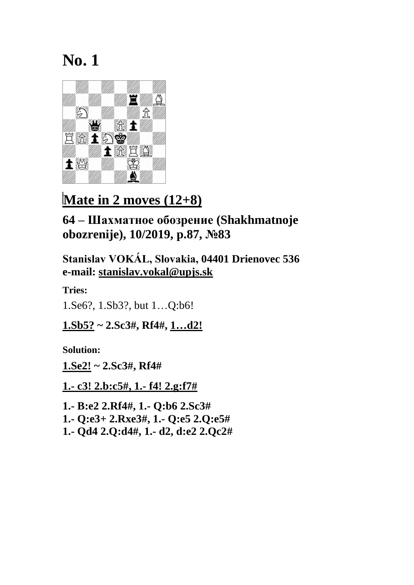

### **Mate in 2 moves (12+8)**

**64 – Шахматное обозрение (Shakhmatnoje obozrenije), 10/2019, p.87, №83**

**Stanislav VOKÁL, Slovakia, 04401 Drienovec 536 e-mail: [stanislav.vokal@upjs.sk](mailto:stanislav.vokal@upjs.sk)**

**Tries:**

1.Se6?, 1.Sb3?, but 1…Q:b6!

**1.Sb5? ~ 2.Sc3#, Rf4#, 1…d2!**

**Solution:**

**1.Se2! ~ 2.Sc3#, Rf4#**

**1.- c3! 2.b:c5#, 1.- f4! 2.g:f7#**

**1.- B:e2 2.Rf4#, 1.- Q:b6 2.Sc3# 1.- Q:e3+ 2.Rxe3#, 1.- Q:e5 2.Q:e5# 1.- Qd4 2.Q:d4#, 1.- d2, d:e2 2.Qc2#**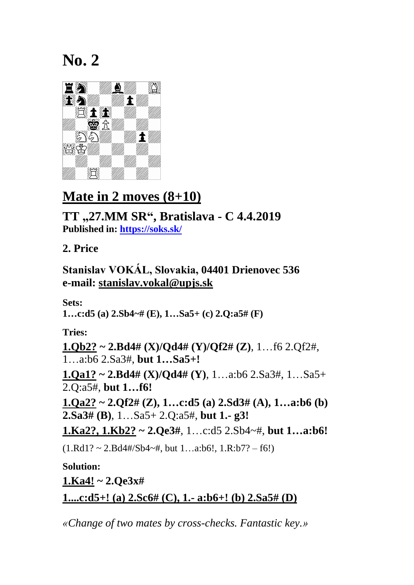

# **Mate in 2 moves (8+10)**

**TT "27.MM SR" , Bratislava - C 4.4.2019 Published in:<https://soks.sk/>**

**2. Price**

**Stanislav VOKÁL, Slovakia, 04401 Drienovec 536 e-mail: [stanislav.vokal@upjs.sk](mailto:stanislav.vokal@upjs.sk)**

**Sets:**

**1…c:d5 (a) 2.Sb4~# (E), 1…Sa5+ (c) 2.Q:a5# (F)**

**Tries:**

**1.Qb2? ~ 2.Bd4# (X)/Qd4# (Y)/Qf2# (Z)**, 1…f6 2.Qf2#, 1…a:b6 2.Sa3#, **but 1…Sa5+! 1.Qa1? ~ 2.Bd4# (X)/Qd4# (Y)**, 1…a:b6 2.Sa3#, 1…Sa5+ 2.Q:a5#, **but 1…f6! 1.Qa2? ~ 2.Qf2# (Z), 1…c:d5 (a) 2.Sd3# (A), 1…a:b6 (b)** 

**2.Sa3# (B)**, 1…Sa5+ 2.Q:a5#, **but 1.- g3!**

**1.Ka2?, 1.Kb2? ~ 2.Qe3#**, 1…c:d5 2.Sb4~#, **but 1…a:b6!**

 $(1.Rd1? \sim 2.Bd4\#/Sb4\sim\#$ , but  $1...a:b6!, 1.R:b7? - f6!)$ 

**Solution: 1.Ka4! ~ 2.Qe3x# 1....c:d5+! (a) 2.Sc6# (C), 1.- a:b6+! (b) 2.Sa5# (D)**

*«Change of two mates by cross-checks. Fantastic key.»*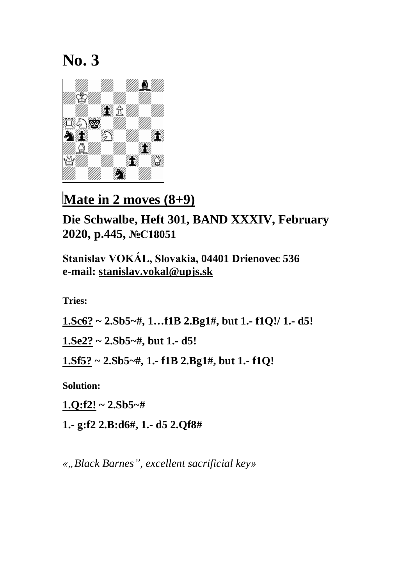

**Mate in 2 moves (8+9)** 

**Die Schwalbe, Heft 301, BAND XXXIV, February 2020, p.445, №C18051**

**Stanislav VOKÁL, Slovakia, 04401 Drienovec 536 e-mail: [stanislav.vokal@upjs.sk](mailto:stanislav.vokal@upjs.sk)**

**Tries:**

**1.Sc6? ~ 2.Sb5~#, 1…f1B 2.Bg1#, but 1.- f1Q!/ 1.- d5!**

**1.Se2? ~ 2.Sb5~#, but 1.- d5!**

**1.Sf5? ~ 2.Sb5~#, 1.- f1B 2.Bg1#, but 1.- f1Q!**

**Solution:**

**1.Q:f2! ~ 2.Sb5~#**

**1.- g:f2 2.B:d6#, 1.- d5 2.Qf8#**

*«"Black Barnes", excellent sacrificial key»*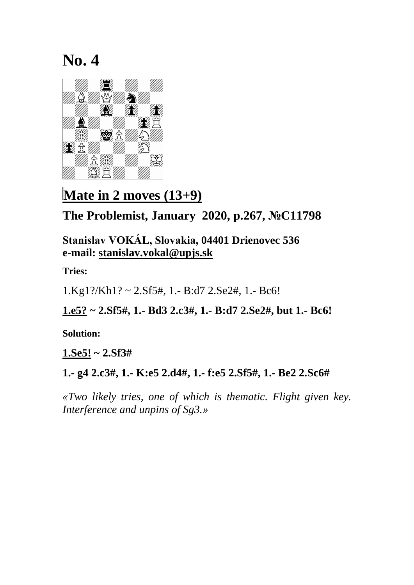

## **Mate in 2 moves (13+9)**

#### **The Problemist, January 2020, p.267, №C11798**

**Stanislav VOKÁL, Slovakia, 04401 Drienovec 536 e-mail: [stanislav.vokal@upjs.sk](mailto:stanislav.vokal@upjs.sk)**

**Tries:**

1.Kg1?/Kh1? ~ 2.Sf5#, 1.- B:d7 2.Se2#, 1.- Bc6!

**1.e5? ~ 2.Sf5#, 1.- Bd3 2.c3#, 1.- B:d7 2.Se2#, but 1.- Bc6!**

**Solution:**

**1.Se5! ~ 2.Sf3#**

**1.- g4 2.c3#, 1.- K:e5 2.d4#, 1.- f:e5 2.Sf5#, 1.- Be2 2.Sc6#**

*«Two likely tries, one of which is thematic. Flight given key. Interference and unpins of Sg3.»*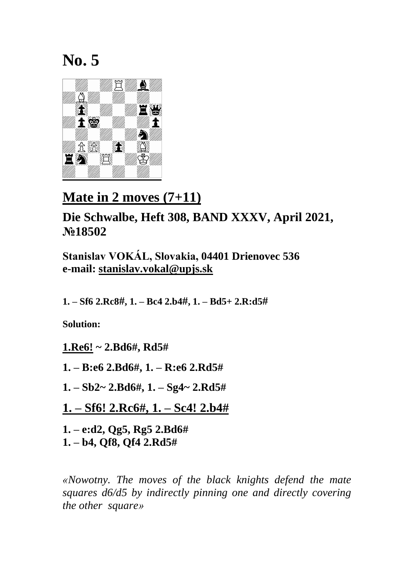

## **Mate in 2 moves (7+11)**

**Die Schwalbe, Heft 308, BAND XXXV, April 2021, №18502**

**Stanislav VOKÁL, Slovakia, 04401 Drienovec 536 e-mail: [stanislav.vokal@upjs.sk](mailto:stanislav.vokal@upjs.sk)**

**1. – Sf6 2.Rc8#, 1. – Bc4 2.b4#, 1. – Bd5+ 2.R:d5#**

**Solution:**

- **1.Re6! ~ 2.Bd6#, Rd5#**
- **1. – B:e6 2.Bd6#, 1. – R:e6 2.Rd5#**
- **1. – Sb2~ 2.Bd6#, 1. – Sg4~ 2.Rd5#**
- **1. – Sf6! 2.Rc6#, 1. – Sc4! 2.b4#**

**1. – e:d2, Qg5, Rg5 2.Bd6# 1. – b4, Qf8, Qf4 2.Rd5#**

*«Nowotny. The moves of the black knights defend the mate squares d6/d5 by indirectly pinning one and directly covering the other square»*